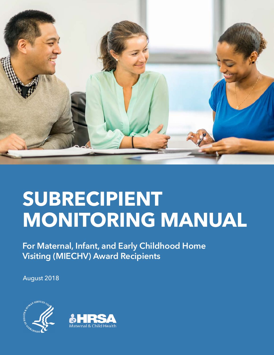

# **SUBRECIPIENT MONITORING MANUAL**

**For Maternal, Infant, and Early Childhood Home Visiting (MIECHV) Award Recipients**

August 2018



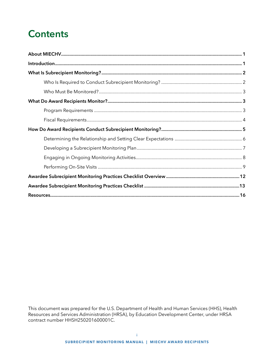# **Contents**

This document was prepared for the U.S. Department of Health and Human Services (HHS), Health Resources and Services Administration (HRSA), by Education Development Center, under HRSA contract number HHSH250201600001C.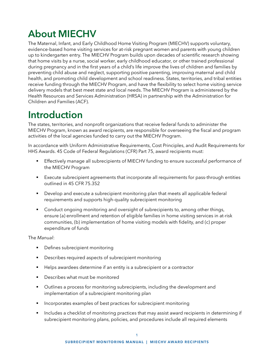# <span id="page-2-0"></span>**About MIECHV**

The Maternal, Infant, and Early Childhood Home Visiting Program (MIECHV) supports voluntary, evidence-based home visiting services for at-risk pregnant women and parents with young children up to kindergarten entry. The MIECHV Program builds upon decades of scientific research showing that home visits by a nurse, social worker, early childhood educator, or other trained professional during pregnancy and in the first years of a child's life improve the lives of children and families by preventing child abuse and neglect, supporting positive parenting, improving maternal and child health, and promoting child development and school readiness. States, territories, and tribal entities receive funding through the MIECHV Program, and have the flexibility to select home visiting service delivery models that best meet state and local needs. The MIECHV Program is administered by the Health Resources and Services Administration (HRSA) in partnership with the Administration for Children and Families (ACF).

# **Introduction**

The states, territories, and nonprofit organizations that receive federal funds to administer the MIECHV Program, known as award recipients, are responsible for overseeing the fiscal and program activities of the local agencies funded to carry out the MIECHV Program.

In accordance with Uniform Administrative Requirements, Cost Principles, and Audit Requirements for HHS Awards. 45 Code of Federal Regulations (CFR) Part 75, award recipients must:

- Effectively manage all subrecipients of MIECHV funding to ensure successful performance of the MIECHV Program
- Execute subrecipient agreements that incorporate all requirements for pass-through entities outlined in 45 CFR 75.352
- Develop and execute a subrecipient monitoring plan that meets all applicable federal requirements and supports high-quality subrecipient monitoring
- Conduct ongoing monitoring and oversight of subrecipients to, among other things, ensure (a) enrollment and retention of eligible families in home visiting services in at-risk communities, (b) implementation of home visiting models with fidelity, and (c) proper expenditure of funds

The *Manual*:

- **•** Defines subrecipient monitoring
- **•** Describes required aspects of subrecipient monitoring
- Helps awardees determine if an entity is a subrecipient or a contractor
- Describes what must be monitored
- Outlines a process for monitoring subrecipients, including the development and implementation of a subrecipient monitoring plan
- Incorporates examples of best practices for subrecipient monitoring
- **•** Includes a checklist of monitoring practices that may assist award recipients in determining if subrecipient monitoring plans, policies, and procedures include all required elements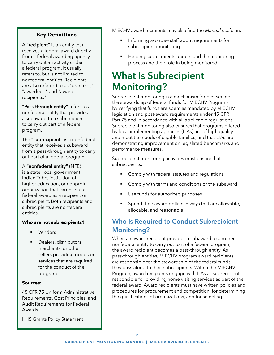#### **Key Definitions**

<span id="page-3-0"></span>A **"recipient"** is an entity that receives a federal award directly from a federal awarding agency to carry out an activity under a federal program. It usually refers to, but is not limited to, nonfederal entities. Recipients are also referred to as "grantees," "awardees," and "award recipients."

**"Pass-through entity"** refers to a nonfederal entity that provides a subaward to a subrecipient to carry out part of a federal program.

The **"subrecipient"** is a nonfederal entity that receives a subaward from a pass-through entity to carry out part of a federal program.

A **"nonfederal entity"** (NFE) is a state, local government, Indian Tribe, institution of higher education, or nonprofit organization that carries out a federal award as a recipient or subrecipient. Both recipients and subrecipients are nonfederal entities.

#### **Who are not subrecipients?**

- **Vendors**
- Dealers, distributors, merchants, or other sellers providing goods or services that are required for the conduct of the program

#### **Sources:**

[45 CFR 75 Uniform Administrative](https://www.ecfr.gov/cgi-bin/text-idx?SID=fe0b41c4580a28aab0c2f6ce73ef1179&node=pt45.1.75&rgn=div5)  [Requirements, Cost Principles, and](https://www.ecfr.gov/cgi-bin/text-idx?SID=fe0b41c4580a28aab0c2f6ce73ef1179&node=pt45.1.75&rgn=div5)  [Audit Requirements for Federal](https://www.ecfr.gov/cgi-bin/text-idx?SID=fe0b41c4580a28aab0c2f6ce73ef1179&node=pt45.1.75&rgn=div5)  [Awards](https://www.ecfr.gov/cgi-bin/text-idx?SID=fe0b41c4580a28aab0c2f6ce73ef1179&node=pt45.1.75&rgn=div5)

[HHS Grants Policy Statement](https://www.hhs.gov/sites/default/files/grants/grants/policies-regulations/hhsgps107.pdf)

MIECHV award recipients may also find the *Manual* useful in:

- Informing awardee staff about requirements for subrecipient monitoring
- Helping subrecipients understand the monitoring process and their role in being monitored

# **What Is Subrecipient Monitoring?**

Subrecipient monitoring is a mechanism for overseeing the stewardship of federal funds for MIECHV Programs by verifying that funds are spent as mandated by MIECHV legislation and post-award requirements under 45 CFR Part 75 and in accordance with all applicable regulations. Subrecipient monitoring also ensures that programs offered by local implementing agencies (LIAs) are of high quality and meet the needs of eligible families, and that LIAs are demonstrating improvement on legislated benchmarks and performance measures.

Subrecipient monitoring activities must ensure that subrecipients:

- Comply with federal statutes and regulations
- Comply with terms and conditions of the subaward
- Use funds for authorized purposes
- Spend their award dollars in ways that are allowable, allocable, and reasonable

### **Who Is Required to Conduct Subrecipient Monitoring?**

When an award recipient provides a subaward to another nonfederal entity to carry out part of a federal program, the award recipient becomes a pass-through entity. As pass-through entities, MIECHV program award recipients are responsible for the stewardship of the federal funds they pass along to their subrecipients. Within the MIECHV Program, award recipients engage with LIAs as subrecipients responsible for providing home visiting services as part of the federal award. Award recipients must have written policies and procedures for procurement and competition, for determining the qualifications of organizations, and for selecting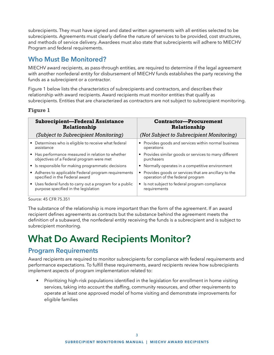<span id="page-4-0"></span>subrecipients. They must have signed and dated written agreements with all entities selected to be subrecipients. Agreements must clearly define the nature of services to be provided, cost structures, and methods of service delivery. Awardees must also state that subrecipients will adhere to MIECHV Program and federal requirements.

### **Who Must Be Monitored?**

MIECHV award recipients, as pass-through entities, are required to determine if the legal agreement with another nonfederal entity for disbursement of MIECHV funds establishes the party receiving the funds as a subrecipient or a contractor.

Figure 1 below lists the characteristics of subrecipients and contractors, and describes their relationship with award recipients. Award recipients must monitor entities that qualify as subrecipients. Entities that are characterized as contractors are not subject to subrecipient monitoring.

#### **Figure 1**

| <b>Subrecipient-Federal Assistance</b>                   | <b>Contractor-Procurement</b>                          |  |  |
|----------------------------------------------------------|--------------------------------------------------------|--|--|
| Relationship                                             | Relationship                                           |  |  |
| (Subject to Subrecipient Monitoring)                     | (Not Subject to Subrecipient Monitoring)               |  |  |
| • Determines who is eligible to receive what federal     | • Provides goods and services within normal business   |  |  |
| assistance                                               | operations                                             |  |  |
| • Has performance measured in relation to whether        | • Provides similar goods or services to many different |  |  |
| objectives of a Federal program were met                 | purchasers                                             |  |  |
| • Is responsible for making programmatic decisions       | • Normally operates in a competitive environment       |  |  |
| • Adheres to applicable Federal program requirements     | Provides goods or services that are ancillary to the   |  |  |
| specified in the Federal award                           | operation of the federal program                       |  |  |
| • Uses federal funds to carry out a program for a public | Is not subject to federal program compliance           |  |  |
| purpose specified in the legislation                     | requirements                                           |  |  |

Source: 45 CFR 75.351

The substance of the relationship is more important than the form of the agreement. If an award recipient defines agreements as contracts but the substance behind the agreement meets the definition of a subaward, the nonfederal entity receiving the funds is a subrecipient and is subject to subrecipient monitoring.

# **What Do Award Recipients Monitor?**

### **Program Requirements**

Award recipients are required to monitor subrecipients for compliance with federal requirements and performance expectations. To fulfill these requirements, award recipients review how subrecipients implement aspects of program implementation related to:

Prioritizing high-risk populations identified in the legislation for enrollment in home visiting services, taking into account the staffing, community resources, and other requirements to operate at least one approved model of home visiting and demonstrate improvements for eligible families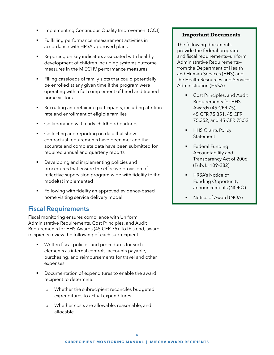- <span id="page-5-0"></span>Implementing Continuous Quality Improvement (CQI)
- Fullfilling performance measurement activities in accordance with HRSA-approved plans
- Reporting on key indicators associated with healthy development of children including systems outcome measures in the MIECHV performance measures
- **•** Filling caseloads of family slots that could potentially be enrolled at any given time if the program were operating with a full complement of hired and trained home visitors
- Recruiting and retaining participants, including attrition rate and enrollment of eligible families
- **•** Collaborating with early childhood partners
- Collecting and reporting on data that show contractual requirements have been met and that accurate and complete data have been submitted for required annual and quarterly reports
- **•** Developing and implementing policies and procedures that ensure the effective provision of reflective supervision program-wide with fidelity to the model(s) implemented
- **•** Following with fidelity an approved evidence-based home visiting service delivery model

### **Fiscal Requirements**

Fiscal monitoring ensures compliance with Uniform Administrative Requirements, Cost Principles, and Audit Requirements for HHS Awards (45 CFR 75). To this end, award recipients review the following of each subrecipient:

- Written fiscal policies and procedures for such elements as internal controls, accounts payable, purchasing, and reimbursements for travel and other expenses
- Documentation of expenditures to enable the award recipient to determine:
	- » Whether the subrecipient reconciles budgeted expenditures to actual expenditures
	- » Whether costs are allowable, reasonable, and allocable

#### **Important Documents**

The following documents provide the federal program and fiscal requirements—uniform Administrative Requirements from the Department of Health and Human Services (HHS) and the Health Resources and Services Administration (HRSA).

- Cost Principles, and Audit [Requirements for HHS](https://www.gpo.gov/fdsys/pkg/CFR-2002-title45-vol1/content-detail.html)  [Awards](https://www.gpo.gov/fdsys/pkg/CFR-2002-title45-vol1/content-detail.html) (45 CFR 75); 45 CFR 75.351, 45 CFR 75.352, and 45 CFR 75.521
- **HHS Grants Policy** [Statement](https://www.hrsa.gov/sites/default/files/grants/hhsgrantspolicy.pdf)
- **•** Federal Funding [Accountability and](https://www.gpo.gov/fdsys/pkg/PLAW-109publ282/pdf/PLAW-109publ282.pdf)  [Transparency Act of 2006](https://www.gpo.gov/fdsys/pkg/PLAW-109publ282/pdf/PLAW-109publ282.pdf)  [\(Pub. L. 109–282\)](https://www.gpo.gov/fdsys/pkg/PLAW-109publ282/pdf/PLAW-109publ282.pdf)
- **HRSA's Notice of** [Funding Opportunity](https://www.grants.gov/view-opportunity.html?oppId=280143)  [announcements](https://www.grants.gov/view-opportunity.html?oppId=280143) (NOFO)
- Notice of Award (NOA)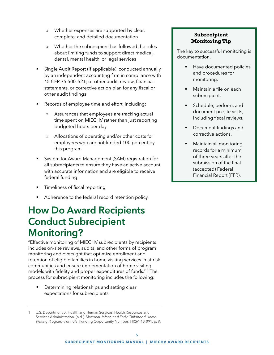- <span id="page-6-0"></span>» Whether expenses are supported by clear, complete, and detailed documentation
- » Whether the subrecipient has followed the rules about limiting funds to support direct medical, dental, mental health, or legal services
- Single Audit Report (if applicable), conducted annually by an independent accounting firm in compliance with 45 CFR 75.500–521; or other audit, review, financial statements, or corrective action plan for any fiscal or other audit findings
- Records of employee time and effort, including:
	- » Assurances that employees are tracking actual time spent on MIECHV rather than just reporting budgeted hours per day
	- » Allocations of operating and/or other costs for employees who are not funded 100 percent by this program
- System for Award Management (SAM) registration for all subrecipients to ensure they have an active account with accurate information and are eligible to receive federal funding
- Timeliness of fiscal reporting
- Adherence to the federal record retention policy

# **How Do Award Recipients Conduct Subrecipient Monitoring?**

"Effective monitoring of MIECHV subrecipients by recipients includes on-site reviews, audits, and other forms of program monitoring and oversight that optimize enrollment and retention of eligible families in home visiting services in at-risk communities and ensure implementation of home visiting models with fidelity and proper expenditures of funds." 1 The process for subrecipient monitoring includes the following:

Determining relationships and setting clear expectations for subrecipients

#### **Subrecipient Monitoring Tip**

The key to successful monitoring is documentation.

- Have documented policies and procedures for monitoring.
- Maintain a file on each subrecipient.
- **Schedule, perform, and** document on-site visits, including fiscal reviews.
- Document findings and corrective actions.
- Maintain all monitoring records for a minimum of three years after the submission of the final (accepted) Federal Financial Report (FFR).

<sup>1</sup> U.S. Department of Health and Human Services, Health Resources and Services Administration. (n.d.). *Maternal, Infant, and Early Childhood Home Visiting Program—Formula*. Funding Opportunity Number: HRSA-18-091, p. 9.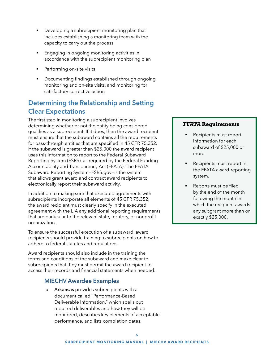- <span id="page-7-0"></span>Developing a subrecipient monitoring plan that includes establishing a monitoring team with the capacity to carry out the process
- Engaging in ongoing monitoring activities in accordance with the subrecipient monitoring plan
- Performing on-site visits
- Documenting findings established through ongoing monitoring and on-site visits, and monitoring for satisfactory corrective action

### **Determining the Relationship and Setting Clear Expectations**

The first step in monitoring a subrecipient involves determining whether or not the entity being considered qualifies as a subrecipient. If it does, then the award recipient must ensure that the subaward contains all the requirements for pass-through entities that are specified in [45 CFR 75.352.](https://www.govregs.com/regulations/expand/title45_chapterA_part75_subpartD_subjgrp28_section75.352#title45_chapterA_part75_subpartD_subjgrp28_section75.352) If the subaward is greater than \$25,000 the award recipient uses this information to report to the [Federal Subaward](https://www.fsrs.gov/)  [Reporting System](https://www.fsrs.gov/) (FSRS), as required by the [Federal Funding](https://www.grants.gov/web/grants/learn-grants/grant-policies/ffata-act-2006.html)  [Accountability and Transparency Act](https://www.grants.gov/web/grants/learn-grants/grant-policies/ffata-act-2006.html) (FFATA). The FFATA Subaward Reporting System—FSRS.gov—is the system that allows grant award and contract award recipients to electronically report their subaward activity.

In addition to making sure that executed agreements with subrecipients incorporate all elements of 45 CFR 75.352, the award recipient must clearly specify in the executed agreement with the LIA any additional reporting requirements that are particular to the relevant state, territory, or nonprofit organization.

To ensure the successful execution of a subaward, award recipients should provide training to subrecipients on how to adhere to federal statutes and regulations.

Award recipients should also include in the training the terms and conditions of the subaward and make clear to subrecipients that they must permit the award recipient to access their records and financial statements when needed.

#### **MIECHV Awardee Examples**

» **Arkansas** provides subrecipients with a document called "Performance-Based Deliverable Information," which spells out required deliverables and how they will be monitored, describes key elements of acceptable performance, and lists completion dates.

#### **FFATA Requirements**

- Recipients must report information for each subaward of \$25,000 or more.
- Recipients must report in the FFATA award-reporting system.
- Reports must be filed by the end of the month following the month in which the recipient awards any subgrant more than or exactly \$25,000.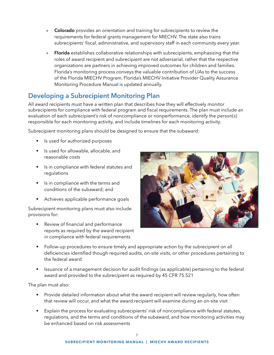- <span id="page-8-0"></span>» **Colorado** provides an orientation and training for subrecipients to review the requirements for federal grants management for MIECHV. The state also trains subrecipients' fiscal, administrative, and supervisory staff in each community every year.
- » **Florida** establishes collaborative relationships with subrecipients, emphasizing that the roles of award recipient and subrecipient are not adversarial, rather that the respective organizations are partners in achieving improved outcomes for children and families. Florida's monitoring process conveys the valuable contribution of LIAs to the success of the Florida MIECHV Program. Florida's [MIECHV Initiative Provider Quality Assurance](http://www.flmiechv.com/wp-content/uploads/2018-Florida-MIECHV-Initiative-QA-Procedures-Manual.pdf)  [Monitoring Procedure Manual](http://www.flmiechv.com/wp-content/uploads/2018-Florida-MIECHV-Initiative-QA-Procedures-Manual.pdf) is updated annually.

### **Developing a Subrecipient Monitoring Plan**

All award recipients must have a written plan that describes how they will effectively monitor subrecipients for compliance with federal program and fiscal requirements. The plan must include an evaluation of each subrecipient's risk of noncompliance or nonperformance, identify the person(s) responsible for each monitoring activity, and include timelines for each monitoring activity.

Subrecipient monitoring plans should be designed to ensure that the subaward:

- Is used for authorized purposes
- **•** Is used for allowable, allocable, and reasonable costs
- Is in compliance with federal statutes and regulations
- Is in compliance with the terms and conditions of the subaward; and
- Achieves applicable performance goals

Subrecipient monitoring plans must also include provisions for:

Review of financial and performance reports as required by the award recipient in compliance with federal requirements



- Follow-up procedures to ensure timely and appropriate action by the subrecipient on all deficiencies identified though required audits, on-site visits, or other procedures pertaining to the federal award
- Issuance of a management decision for audit findings (as applicable) pertaining to the federal award and provided to the subrecipient as required by 45 CFR 75.521

The plan must also:

- **•** Provide detailed information about what the award recipient will review regularly, how often that review will occur, and what the award recipient will examine during an on-site visit
- Explain the process for evaluating subrecipients' risk of noncompliance with federal statutes, regulations, and the terms and conditions of the subaward, and how monitoring activities may be enhanced based on risk assessments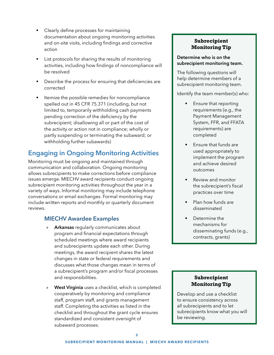- <span id="page-9-0"></span>Clearly define processes for maintaining documentation about ongoing monitoring activities and on-site visits, including findings and corrective action
- **EXECT** List protocols for sharing the results of monitoring activities, including how findings of noncompliance will be resolved
- **EXECRY** Describe the process for ensuring that deficiencies are corrected
- Itemize the possible remedies for noncompliance spelled out in 45 CFR 75.371 (including, but not limited to, temporarily withholding cash payments pending correction of the deficiency by the subrecipient; disallowing all or part of the cost of the activity or action not in compliance; wholly or partly suspending or terminating the subaward; or withholding further subawards)

### **Engaging in Ongoing Monitoring Activities**

Monitoring must be ongoing and maintained through communication and collaboration. Ongoing monitoring allows subrecipients to make corrections before compliance issues emerge. MIECHV award recipients conduct ongoing subrecipient monitoring activities throughout the year in a variety of ways. Informal monitoring may include telephone conversations or email exchanges. Formal monitoring may include written reports and monthly or quarterly document reviews.

#### **MIECHV Awardee Examples**

- » **Arkansas** regularly communicates about program and financial expectations through scheduled meetings where award recipients and subrecipients update each other. During meetings, the award recipient shares the latest changes in state or federal requirements and discusses what those changes mean in terms of a subrecipient's program and/or fiscal processes and responsibilities.
- » **West Virginia** uses a checklist, which is completed cooperatively by monitoring and compliance staff, program staff, and grants management staff. Completing the activities as listed in the checklist and throughout the grant cycle ensures standardized and consistent oversight of subaward processes.

#### **Subrecipient Monitoring Tip**

#### **Determine who is on the subrecipient monitoring team.**

The following questions will help determine members of a subrecipient monitoring team.

Identify the team member(s) who:

- Ensure that reporting requirements (e.g., the Payment Management System, FFR, and FFATA requirements) are completed
- Ensure that funds are used appropriately to implement the program and achieve desired outcomes
- Review and monitor the subrecipient's fiscal practices over time
- Plan how funds are disseminated
- Determine the mechanisms for disseminating funds (e.g., contracts, grants)

#### **Subrecipient Monitoring Tip**

Develop and use a checklist to ensure consistency across all subrecipients and to let subrecipients know what you will be reviewing.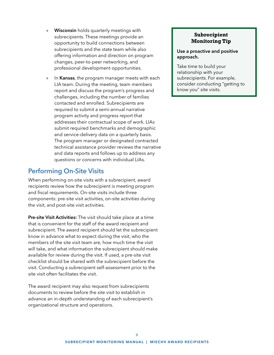- <span id="page-10-0"></span>» **Wisconsin** holds quarterly meetings with subrecipients. These meetings provide an opportunity to build connections between subrecipients and the state team while also offering information and direction on program changes, peer-to-peer networking, and professional development opportunities.
- » In **Kansas**, the program manager meets with each LIA team. During the meeting, team members report and discuss the program's progress and challenges, including the number of families contacted and enrolled. Subrecipients are required to submit a semi-annual narrative program activity and progress report that addresses their contractual scope of work. LIAs submit required benchmarks and demographic and service-delivery data on a quarterly basis. The program manager or designated contracted technical assistance provider reviews the narrative and data reports and follows up to address any questions or concerns with individual LIAs.

### **Performing On-Site Visits**

When performing on-site visits with a subrecipient, award recipients review how the subrecipient is meeting program and fiscal requirements. On-site visits include three components: pre-site visit activities, on-site activities during the visit, and post-site visit activities.

**Pre-site Visit Activities:** The visit should take place at a time that is convenient for the staff of the award recipient and subrecipient. The award recipient should let the subrecipient know in advance what to expect during the visit, who the members of the site visit team are, how much time the visit will take, and what information the subrecipient should make available for review during the visit. If used, a pre-site visit checklist should be shared with the subrecipient before the visit. Conducting a subrecipient self-assessment prior to the site visit often facilitates the visit.

The award recipient may also request from subrecipients documents to review before the site visit to establish in advance an in-depth understanding of each subrecipient's organizational structure and operations.

#### **Subrecipient Monitoring Tip**

**Use a proactive and positive approach.**

Take time to build your relationship with your subrecipients. For example, consider conducting "getting to know you" site visits.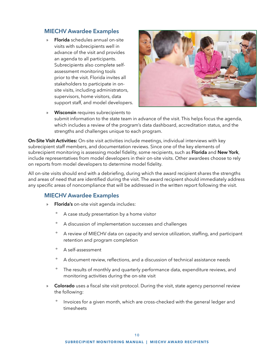#### **MIECHV Awardee Examples**

» **Florida** schedules annual on-site visits with subrecipients well in advance of the visit and provides an agenda to all participants. Subrecipients also complete selfassessment monitoring tools prior to the visit. Florida invites all stakeholders to participate in onsite visits, including administrators, supervisors, home visitors, data support staff, and model developers.



» **Wisconsin** requires subrecipients to submit information to the state team in advance of the visit. This helps focus the agenda, which includes a review of the program's data dashboard, accreditation status, and the strengths and challenges unique to each program.

**On-Site Visit Activities:** On-site visit activities include meetings, individual interviews with key subrecipient staff members, and documentation reviews. Since one of the key elements of subrecipient monitoring is assessing model fidelity, some recipients, such as **Florida** and **New York**, include representatives from model developers in their on-site visits. Other awardees choose to rely on reports from model developers to determine model fidelity.

All on-site visits should end with a debriefing, during which the award recipient shares the strengths and areas of need that are identified during the visit. The award recipient should immediately address any specific areas of noncompliance that will be addressed in the written report following the visit.

#### **MIECHV Awardee Examples**

- » **Florida's** on-site visit agenda includes:
	- A case study presentation by a home visitor
	- º A discussion of implementation successes and challenges
	- º A review of MIECHV data on capacity and service utilization, staffing, and participant retention and program completion
	- º A self-assessment
	- º A document review, reflections, and a discussion of technical assistance needs
	- º The results of monthly and quarterly performance data, expenditure reviews, and monitoring activities during the on-site visit
- » **Colorado** uses a fiscal site visit protocol. During the visit, state agency personnel review the following:
	- º Invoices for a given month, which are cross-checked with the general ledger and timesheets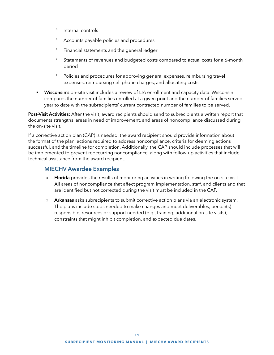- º Internal controls
- º Accounts payable policies and procedures
- º Financial statements and the general ledger
- º Statements of revenues and budgeted costs compared to actual costs for a 6-month period
- º Policies and procedures for approving general expenses, reimbursing travel expenses, reimbursing cell phone charges, and allocating costs
- **Wisconsin's** on-site visit includes a review of LIA enrollment and capacity data. Wisconsin compares the number of families enrolled at a given point and the number of families served year to date with the subrecipients' current contracted number of families to be served.

**Post-Visit Activities:** After the visit, award recipients should send to subrecipients a written report that documents strengths, areas in need of improvement, and areas of noncompliance discussed during the on-site visit.

If a corrective action plan (CAP) is needed, the award recipient should provide information about the format of the plan, actions required to address noncompliance, criteria for deeming actions successful, and the timeline for completion. Additionally, the CAP should include processes that will be implemented to prevent reoccurring noncompliance, along with follow-up activities that include technical assistance from the award recipient.

#### **MIECHV Awardee Examples**

- » **Florida** provides the results of monitoring activities in writing following the on-site visit. All areas of noncompliance that affect program implementation, staff, and clients and that are identified but not corrected during the visit must be included in the CAP.
- » **Arkansas** asks subrecipients to submit corrective action plans via an electronic system. The plans include steps needed to make changes and meet deliverables, person(s) responsible, resources or support needed (e.g., training, additional on-site visits), constraints that might inhibit completion, and expected due dates.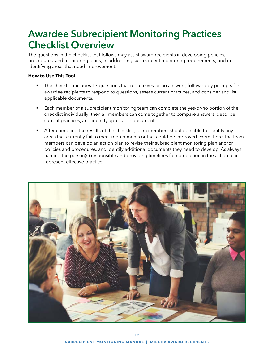# <span id="page-13-0"></span>**Awardee Subrecipient Monitoring Practices Checklist Overview**

The questions in the checklist that follows may assist award recipients in developing policies, procedures, and monitoring plans; in addressing subrecipient monitoring requirements; and in identifying areas that need improvement.

#### **How to Use This Tool**

- The checklist includes 17 questions that require yes-or-no answers, followed by prompts for awardee recipients to respond to questions, assess current practices, and consider and list applicable documents.
- Each member of a subrecipient monitoring team can complete the yes-or-no portion of the checklist individually; then all members can come together to compare answers, describe current practices, and identify applicable documents.
- After compiling the results of the checklist, team members should be able to identify any areas that currently fail to meet requirements or that could be improved. From there, the team members can develop an action plan to revise their subrecipient monitoring plan and/or policies and procedures, and identify additional documents they need to develop. As always, naming the person(s) responsible and providing timelines for completion in the action plan represent effective practice.

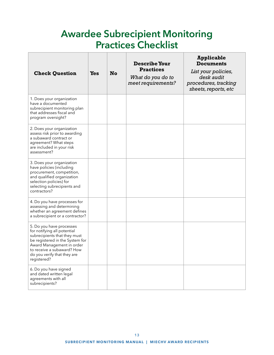# **Awardee Subrecipient Monitoring Practices Checklist**

<span id="page-14-0"></span>

| <b>Check Question</b>                                                                                                                                                                                                               | Yes | <b>No</b> | <b>Describe Your</b><br><b>Practices</b><br>What do you do to<br>meet requirements? | <b>Applicable</b><br><b>Documents</b><br>List your policies,<br>desk audit<br>procedures, tracking<br>sheets, reports, etc |
|-------------------------------------------------------------------------------------------------------------------------------------------------------------------------------------------------------------------------------------|-----|-----------|-------------------------------------------------------------------------------------|----------------------------------------------------------------------------------------------------------------------------|
| 1. Does your organization<br>have a documented<br>subrecipient monitoring plan<br>that addresses fiscal and<br>program oversight?                                                                                                   |     |           |                                                                                     |                                                                                                                            |
| 2. Does your organization<br>assess risk prior to awarding<br>a subaward contract or<br>agreement? What steps<br>are included in your risk<br>assessment?                                                                           |     |           |                                                                                     |                                                                                                                            |
| 3. Does your organization<br>have policies (including<br>procurement, competition,<br>and qualified organization<br>selection policies) for<br>selecting subrecipients and<br>contractors?                                          |     |           |                                                                                     |                                                                                                                            |
| 4. Do you have processes for<br>assessing and determining<br>whether an agreement defines<br>a subrecipient or a contractor?                                                                                                        |     |           |                                                                                     |                                                                                                                            |
| 5. Do you have processes<br>for notifying all potential<br>subrecipients that they must<br>be registered in the System for<br>Award Management in order<br>to receive a subaward? How<br>do you verify that they are<br>registered? |     |           |                                                                                     |                                                                                                                            |
| 6. Do you have signed<br>and dated written legal<br>agreements with all<br>subrecipients?                                                                                                                                           |     |           |                                                                                     |                                                                                                                            |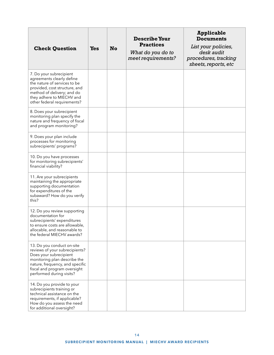| <b>Check Question</b>                                                                                                                                                                                                 | <b>Yes</b> | <b>No</b> | <b>Describe Your</b><br><b>Practices</b><br>What do you do to<br>meet requirements? | <b>Applicable</b><br><b>Documents</b><br>List your policies,<br>desk audit<br>procedures, tracking<br>sheets, reports, etc |
|-----------------------------------------------------------------------------------------------------------------------------------------------------------------------------------------------------------------------|------------|-----------|-------------------------------------------------------------------------------------|----------------------------------------------------------------------------------------------------------------------------|
| 7. Do your subrecipient<br>agreements clearly define<br>the nature of services to be<br>provided, cost structure, and<br>method of delivery; and do<br>they adhere to MIECHV and<br>other federal requirements?       |            |           |                                                                                     |                                                                                                                            |
| 8. Does your subrecipient<br>monitoring plan specify the<br>nature and frequency of fiscal<br>and program monitoring?                                                                                                 |            |           |                                                                                     |                                                                                                                            |
| 9. Does your plan include<br>processes for monitoring<br>subrecipients' programs?                                                                                                                                     |            |           |                                                                                     |                                                                                                                            |
| 10. Do you have processes<br>for monitoring subrecipients'<br>financial viability?                                                                                                                                    |            |           |                                                                                     |                                                                                                                            |
| 11. Are your subrecipients<br>maintaining the appropriate<br>supporting documentation<br>for expenditures of the<br>subaward? How do you verify<br>this?                                                              |            |           |                                                                                     |                                                                                                                            |
| 12. Do you review supporting<br>documentation for<br>subrecipients' expenditures<br>to ensure costs are allowable,<br>allocable, and reasonable to<br>the federal MIECHV awards?                                      |            |           |                                                                                     |                                                                                                                            |
| 13. Do you conduct on-site<br>reviews of your subrecipients?<br>Does your subrecipient<br>monitoring plan describe the<br>nature, frequency, and specific<br>fiscal and program oversight<br>performed during visits? |            |           |                                                                                     |                                                                                                                            |
| 14. Do you provide to your<br>subrecipients training or<br>technical assistance on the<br>requirements, if applicable?<br>How do you assess the need<br>for additional oversight?                                     |            |           |                                                                                     |                                                                                                                            |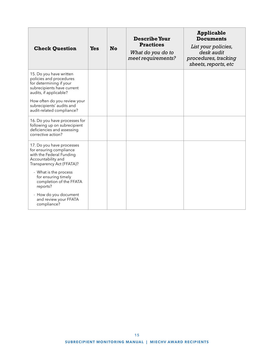| <b>Check Question</b>                                                                                                                                                 | <b>Yes</b> | No | <b>Describe Your</b><br><b>Practices</b><br>What do you do to<br>meet requirements? | Applicable<br><b>Documents</b><br>List your policies,<br>desk audit<br>procedures, tracking<br>sheets, reports, etc |
|-----------------------------------------------------------------------------------------------------------------------------------------------------------------------|------------|----|-------------------------------------------------------------------------------------|---------------------------------------------------------------------------------------------------------------------|
| 15. Do you have written<br>policies and procedures<br>for determining if your<br>subrecipients have current<br>audits, if applicable?<br>How often do you review your |            |    |                                                                                     |                                                                                                                     |
| subrecipients' audits and<br>audit-related compliance?                                                                                                                |            |    |                                                                                     |                                                                                                                     |
| 16. Do you have processes for<br>following up on subrecipient<br>deficiencies and assessing<br>corrective action?                                                     |            |    |                                                                                     |                                                                                                                     |
| 17. Do you have processes<br>for ensuring compliance<br>with the Federal Funding<br>Accountability and<br>Transparency Act (FFATA)?                                   |            |    |                                                                                     |                                                                                                                     |
| - What is the process<br>for ensuring timely<br>completion of the FFATA<br>reports?                                                                                   |            |    |                                                                                     |                                                                                                                     |
| - How do you document<br>and review your FFATA<br>compliance?                                                                                                         |            |    |                                                                                     |                                                                                                                     |